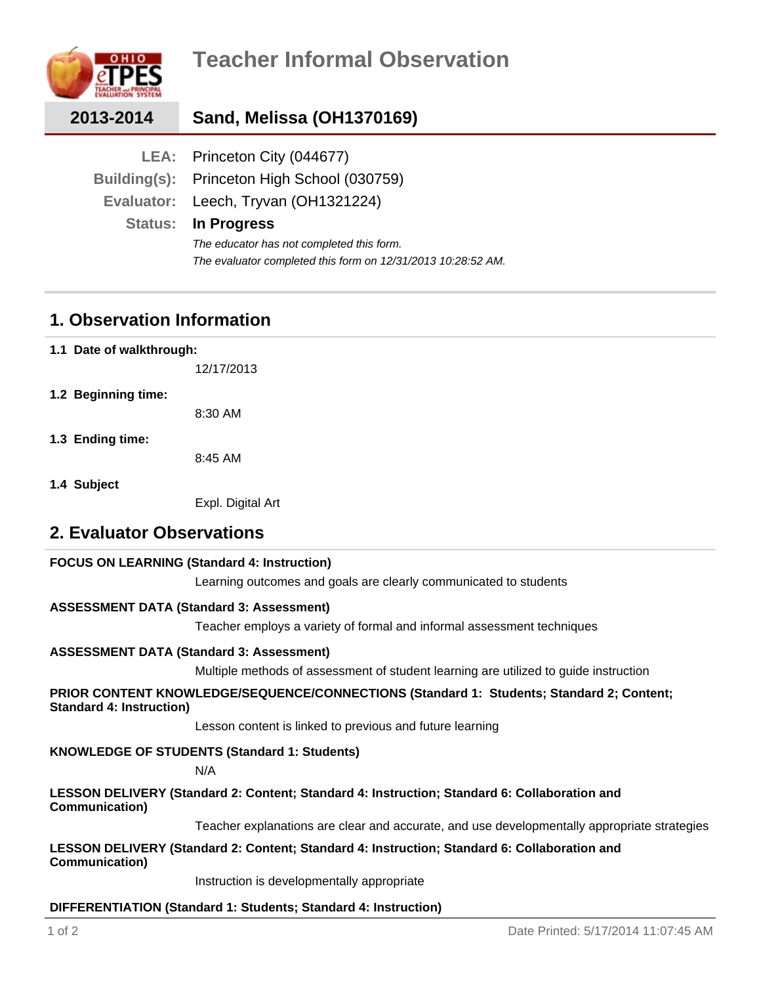

| 2013-2014 | Sand, Melissa (OH1370169)                                    |
|-----------|--------------------------------------------------------------|
|           | LEA: Princeton City (044677)                                 |
|           | Building(s): Princeton High School (030759)                  |
|           | Evaluator: Leech, Tryvan (OH1321224)                         |
|           | <b>Status: In Progress</b>                                   |
|           | The educator has not completed this form.                    |
|           | The evaluator completed this form on 12/31/2013 10:28:52 AM. |

### **1. Observation Information**

**1.1 Date of walkthrough:**

12/17/2013

**1.2 Beginning time:**

8:30 AM

**1.3 Ending time:**

8:45 AM

**1.4 Subject**

Expl. Digital Art

### **2. Evaluator Observations**

#### **FOCUS ON LEARNING (Standard 4: Instruction)**

Learning outcomes and goals are clearly communicated to students

#### **ASSESSMENT DATA (Standard 3: Assessment)**

Teacher employs a variety of formal and informal assessment techniques

#### **ASSESSMENT DATA (Standard 3: Assessment)**

Multiple methods of assessment of student learning are utilized to guide instruction

#### **PRIOR CONTENT KNOWLEDGE/SEQUENCE/CONNECTIONS (Standard 1: Students; Standard 2; Content; Standard 4: Instruction)**

Lesson content is linked to previous and future learning

#### **KNOWLEDGE OF STUDENTS (Standard 1: Students)**

N/A

#### **LESSON DELIVERY (Standard 2: Content; Standard 4: Instruction; Standard 6: Collaboration and Communication)**

Teacher explanations are clear and accurate, and use developmentally appropriate strategies

**LESSON DELIVERY (Standard 2: Content; Standard 4: Instruction; Standard 6: Collaboration and Communication)**

Instruction is developmentally appropriate

#### **DIFFERENTIATION (Standard 1: Students; Standard 4: Instruction)**